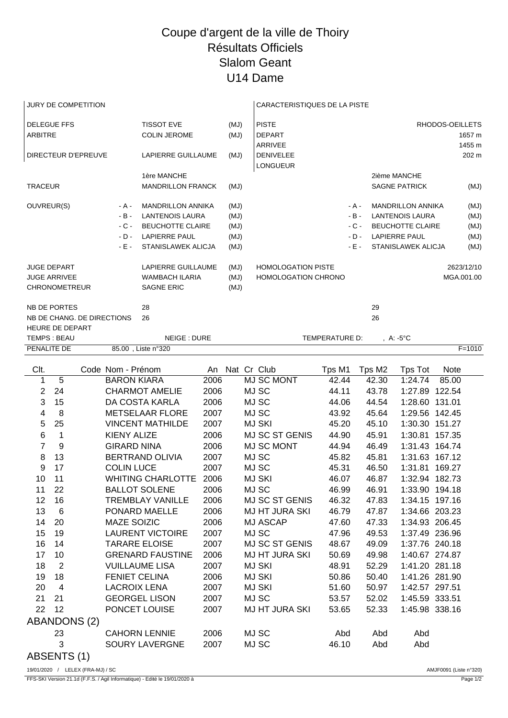## Coupe d'argent de la ville de Thoiry Résultats Officiels Slalom Geant U14 Dame

| JURY DE COMPETITION                                                          |                                          |                                                                                                                      |              |                                          | <b>CARACTERISTIQUES DE LA PISTE</b>                     |                                               |                                                                                                                                    |                                      |                  |            |
|------------------------------------------------------------------------------|------------------------------------------|----------------------------------------------------------------------------------------------------------------------|--------------|------------------------------------------|---------------------------------------------------------|-----------------------------------------------|------------------------------------------------------------------------------------------------------------------------------------|--------------------------------------|------------------|------------|
| <b>DELEGUE FFS</b><br><b>ARBITRE</b>                                         | <b>TISSOT EVE</b><br><b>COLIN JEROME</b> |                                                                                                                      | (MJ)<br>(MJ) | <b>PISTE</b><br><b>DEPART</b><br>ARRIVEE |                                                         |                                               |                                                                                                                                    | RHODOS-OEILLETS                      | 1657 m<br>1455 m |            |
| DIRECTEUR D'EPREUVE                                                          |                                          | LAPIERRE GUILLAUME                                                                                                   |              | (MJ)                                     | DENIVELEE<br><b>LONGUEUR</b>                            |                                               |                                                                                                                                    |                                      |                  | 202 m      |
| <b>TRACEUR</b>                                                               |                                          | 1ère MANCHE<br>MANDRILLON FRANCK                                                                                     |              | (MJ)                                     |                                                         |                                               |                                                                                                                                    | 2ième MANCHE<br><b>SAGNE PATRICK</b> |                  | (MJ)       |
| OUVREUR(S)<br>- A -<br>$-B -$<br>$-C -$<br>$-D -$<br>$-E -$                  |                                          | <b>MANDRILLON ANNIKA</b><br><b>LANTENOIS LAURA</b><br>BEUCHOTTE CLAIRE<br><b>LAPIERRE PAUL</b><br>STANISLAWEK ALICJA |              | (MJ)<br>(MJ)<br>(MJ)<br>(MJ)<br>(MJ)     |                                                         | - A -<br>$-B -$<br>$-C -$<br>$-D -$<br>$-E -$ | <b>MANDRILLON ANNIKA</b><br><b>LANTENOIS LAURA</b><br><b>BEUCHOTTE CLAIRE</b><br><b>LAPIERRE PAUL</b><br><b>STANISLAWEK ALICJA</b> |                                      |                  |            |
| <b>JUGE DEPART</b><br><b>JUGE ARRIVEE</b><br><b>CHRONOMETREUR</b>            |                                          | LAPIERRE GUILLAUME<br><b>WAMBACH ILARIA</b><br><b>SAGNE ERIC</b>                                                     |              | (MJ)<br>(MJ)<br>(MJ)                     | <b>HOMOLOGATION PISTE</b><br><b>HOMOLOGATION CHRONO</b> |                                               |                                                                                                                                    |                                      | MGA.001.00       | 2623/12/10 |
| NB DE PORTES<br>NB DE CHANG. DE DIRECTIONS<br>HEURE DE DEPART<br>TEMPS: BEAU |                                          | 28<br>26<br>NEIGE: DURE                                                                                              |              |                                          |                                                         | TEMPERATURE D:                                | 29<br>26                                                                                                                           |                                      |                  |            |
| PENALITE DE                                                                  |                                          | 85.00, Liste n°320                                                                                                   |              |                                          |                                                         |                                               |                                                                                                                                    | , A: -5°C                            |                  | $F = 1010$ |
| Clt.                                                                         | Code Nom - Prénom                        |                                                                                                                      |              |                                          | An Nat Cr Club                                          | Tps M1                                        | Tps M2                                                                                                                             | Tps Tot                              | <b>Note</b>      |            |
| 5<br>1                                                                       | <b>BARON KIARA</b>                       |                                                                                                                      | 2006         |                                          | <b>MJ SC MONT</b>                                       | 42.44                                         | 42.30                                                                                                                              | 1:24.74                              | 85.00            |            |
| 24<br>$\overline{2}$                                                         |                                          | <b>CHARMOT AMELIE</b>                                                                                                | 2006         |                                          | MJ SC                                                   | 44.11                                         | 43.78                                                                                                                              | 1:27.89 122.54                       |                  |            |
| 3<br>15                                                                      |                                          | DA COSTA KARLA                                                                                                       | 2006         |                                          | MJ SC                                                   | 44.06                                         | 44.54                                                                                                                              | 1:28.60 131.01                       |                  |            |
| 4<br>8                                                                       |                                          | <b>METSELAAR FLORE</b>                                                                                               | 2007         |                                          | MJ SC                                                   | 43.92                                         | 45.64                                                                                                                              | 1:29.56 142.45                       |                  |            |
| 25<br>5                                                                      |                                          | <b>VINCENT MATHILDE</b>                                                                                              | 2007         |                                          | <b>MJ SKI</b>                                           | 45.20                                         | 45.10                                                                                                                              | 1:30.30 151.27                       |                  |            |
| 6<br>1                                                                       | <b>KIENY ALIZE</b>                       |                                                                                                                      | 2006         |                                          | MJ SC ST GENIS                                          | 44.90                                         | 45.91                                                                                                                              | 1:30.81 157.35                       |                  |            |
| $\overline{7}$<br>9                                                          | <b>GIRARD NINA</b>                       |                                                                                                                      | 2006         |                                          | MJ SC MONT                                              | 44.94                                         | 46.49                                                                                                                              | 1:31.43 164.74                       |                  |            |
| 13<br>8                                                                      |                                          | <b>BERTRAND OLIVIA</b>                                                                                               | 2007         |                                          | MJ SC                                                   | 45.82                                         | 45.81                                                                                                                              | 1:31.63 167.12                       |                  |            |
| 17<br>9                                                                      | <b>COLIN LUCE</b>                        |                                                                                                                      | 2007         |                                          | MJ SC                                                   | 45.31                                         | 46.50                                                                                                                              | 1:31.81 169.27                       |                  |            |
| 10<br>11                                                                     |                                          | <b>WHITING CHARLOTTE</b>                                                                                             | 2006         |                                          | <b>MJ SKI</b>                                           | 46.07                                         | 46.87                                                                                                                              | 1:32.94 182.73                       |                  |            |
| 22<br>11                                                                     |                                          | <b>BALLOT SOLENE</b>                                                                                                 | 2006         |                                          | MJ SC                                                   | 46.99                                         | 46.91                                                                                                                              | 1:33.90 194.18                       |                  |            |
| 12<br>16                                                                     |                                          | <b>TREMBLAY VANILLE</b>                                                                                              | 2006         |                                          | MJ SC ST GENIS                                          | 46.32                                         | 47.83                                                                                                                              | 1:34.15 197.16                       |                  |            |
| 13<br>$6\phantom{1}6$                                                        |                                          | PONARD MAELLE                                                                                                        | 2006         |                                          | <b>MJ HT JURA SKI</b>                                   | 46.79                                         | 47.87                                                                                                                              | 1:34.66 203.23                       |                  |            |
| 14<br>20<br>15<br>19                                                         | MAZE SOIZIC                              | <b>LAURENT VICTOIRE</b>                                                                                              | 2006<br>2007 |                                          | <b>MJ ASCAP</b><br>MJ SC                                | 47.60<br>47.96                                | 47.33<br>49.53                                                                                                                     | 1:34.93 206.45<br>1:37.49 236.96     |                  |            |
| 14<br>16                                                                     |                                          | <b>TARARE ELOISE</b>                                                                                                 | 2007         |                                          | MJ SC ST GENIS                                          | 48.67                                         | 49.09                                                                                                                              | 1:37.76 240.18                       |                  |            |
| 17<br>10                                                                     |                                          | <b>GRENARD FAUSTINE</b>                                                                                              | 2006         |                                          | <b>MJ HT JURA SKI</b>                                   | 50.69                                         | 49.98                                                                                                                              | 1:40.67 274.87                       |                  |            |
| $\overline{2}$<br>18                                                         |                                          | <b>VUILLAUME LISA</b>                                                                                                | 2007         |                                          | <b>MJ SKI</b>                                           | 48.91                                         | 52.29                                                                                                                              | 1:41.20 281.18                       |                  |            |
| 18<br>19                                                                     |                                          | <b>FENIET CELINA</b>                                                                                                 | 2006         |                                          | <b>MJ SKI</b>                                           | 50.86                                         | 50.40                                                                                                                              | 1:41.26 281.90                       |                  |            |
| 20<br>$\overline{4}$                                                         | <b>LACROIX LENA</b>                      |                                                                                                                      | 2007         |                                          | <b>MJ SKI</b>                                           | 51.60                                         | 50.97                                                                                                                              | 1:42.57 297.51                       |                  |            |
| 21<br>21                                                                     |                                          | <b>GEORGEL LISON</b>                                                                                                 | 2007         |                                          | MJ SC                                                   | 53.57                                         | 52.02                                                                                                                              | 1:45.59 333.51                       |                  |            |
| 22<br>12                                                                     |                                          | PONCET LOUISE                                                                                                        | 2007         |                                          | <b>MJ HT JURA SKI</b>                                   | 53.65                                         | 52.33                                                                                                                              | 1:45.98 338.16                       |                  |            |
| ABANDONS (2)                                                                 |                                          |                                                                                                                      |              |                                          |                                                         |                                               |                                                                                                                                    |                                      |                  |            |
| 23                                                                           |                                          | <b>CAHORN LENNIE</b>                                                                                                 | 2006         |                                          | MJ SC                                                   | Abd                                           | Abd                                                                                                                                | Abd                                  |                  |            |
| 3                                                                            |                                          | <b>SOURY LAVERGNE</b>                                                                                                | 2007         |                                          | MJ SC                                                   | 46.10                                         | Abd                                                                                                                                | Abd                                  |                  |            |
|                                                                              |                                          |                                                                                                                      |              |                                          |                                                         |                                               |                                                                                                                                    |                                      |                  |            |

ABSENTS (1)

19/01/2020 / LELEX (FRA-MJ) / SC AMJF0091 (Liste n°320)

FFS-SKI Version 21.1d (F.F.S. / Agil Informatique) - Edité le 19/01/2020 à Page 1/2